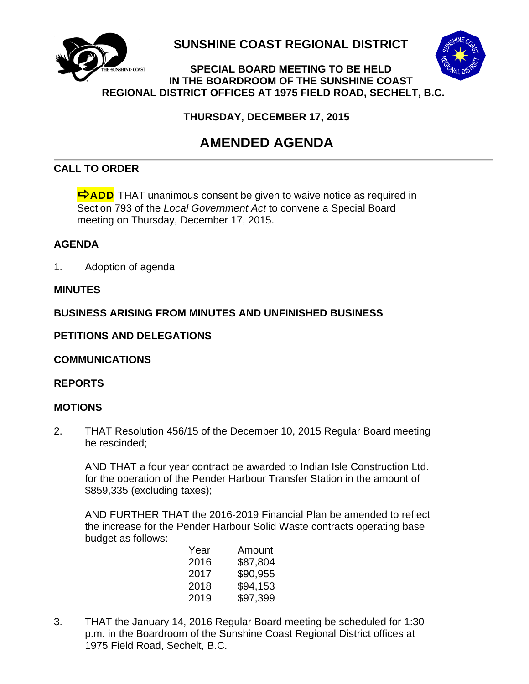

**SUNSHINE COAST REGIONAL DISTRICT**



## **SPECIAL BOARD MEETING TO BE HELD IN THE BOARDROOM OF THE SUNSHINE COAST REGIONAL DISTRICT OFFICES AT 1975 FIELD ROAD, SECHELT, B.C.**

**THURSDAY, DECEMBER 17, 2015**

# **AMENDED AGENDA**

## **CALL TO ORDER**

 $\Rightarrow$  ADD THAT unanimous consent be given to waive notice as required in Section 793 of the *Local Government Act* to convene a Special Board meeting on Thursday, December 17, 2015.

## **AGENDA**

1. Adoption of agenda

## **MINUTES**

## **BUSINESS ARISING FROM MINUTES AND UNFINISHED BUSINESS**

## **PETITIONS AND DELEGATIONS**

## **COMMUNICATIONS**

#### **REPORTS**

#### **MOTIONS**

2. THAT Resolution 456/15 of the December 10, 2015 Regular Board meeting be rescinded;

AND THAT a four year contract be awarded to Indian Isle Construction Ltd. for the operation of the Pender Harbour Transfer Station in the amount of \$859,335 (excluding taxes);

AND FURTHER THAT the 2016-2019 Financial Plan be amended to reflect the increase for the Pender Harbour Solid Waste contracts operating base budget as follows:

| Year | Amount   |
|------|----------|
| 2016 | \$87,804 |
| 2017 | \$90,955 |
| 2018 | \$94,153 |
| 2019 | \$97,399 |
|      |          |

3. THAT the January 14, 2016 Regular Board meeting be scheduled for 1:30 p.m. in the Boardroom of the Sunshine Coast Regional District offices at 1975 Field Road, Sechelt, B.C.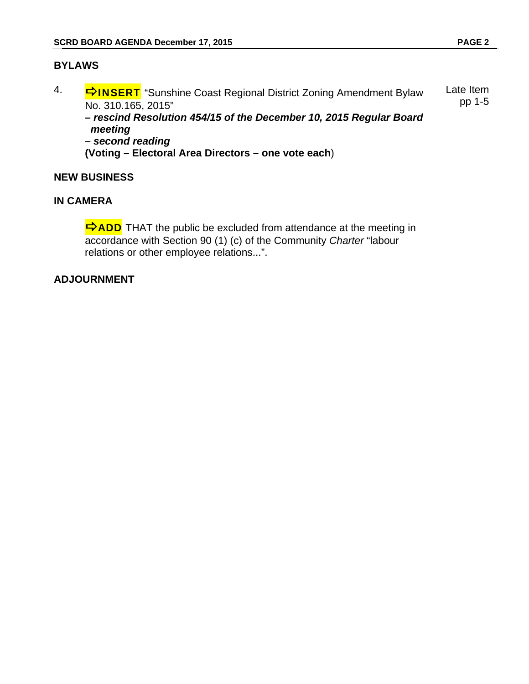#### **BYLAWS**

4. **INSERT** "Sunshine Coast Regional District Zoning Amendment Bylaw No. 310.165, 2015" Late Item pp 1-5

*– rescind Resolution 454/15 of the December 10, 2015 Regular Board meeting* 

*– second reading* 

**(Voting – Electoral Area Directors – one vote each**)

#### **NEW BUSINESS**

#### **IN CAMERA**

 $\Rightarrow$  ADD THAT the public be excluded from attendance at the meeting in accordance with Section 90 (1) (c) of the Community *Charter* "labour relations or other employee relations...".

#### **ADJOURNMENT**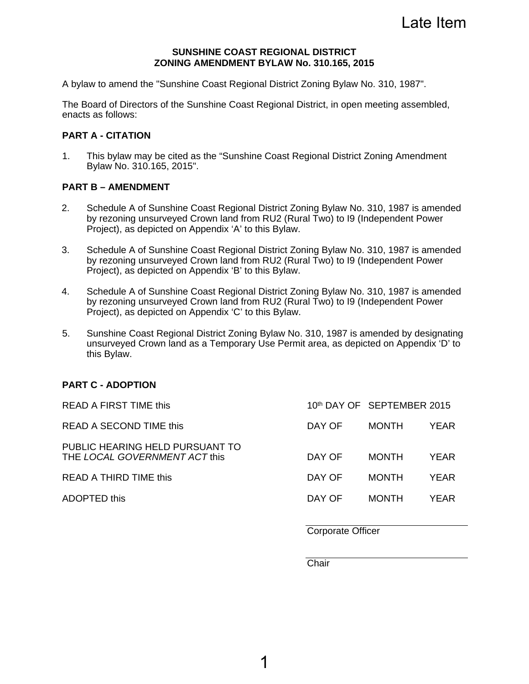Late Item

#### **SUNSHINE COAST REGIONAL DISTRICT ZONING AMENDMENT BYLAW No. 310.165, 2015**

A bylaw to amend the "Sunshine Coast Regional District Zoning Bylaw No. 310, 1987".

The Board of Directors of the Sunshine Coast Regional District, in open meeting assembled, enacts as follows:

#### **PART A - CITATION**

1. This bylaw may be cited as the "Sunshine Coast Regional District Zoning Amendment Bylaw No. 310.165, 2015".

#### **PART B – AMENDMENT**

- 2. Schedule A of Sunshine Coast Regional District Zoning Bylaw No. 310, 1987 is amended by rezoning unsurveyed Crown land from RU2 (Rural Two) to I9 (Independent Power Project), as depicted on Appendix 'A' to this Bylaw.
- 3. Schedule A of Sunshine Coast Regional District Zoning Bylaw No. 310, 1987 is amended by rezoning unsurveyed Crown land from RU2 (Rural Two) to I9 (Independent Power Project), as depicted on Appendix 'B' to this Bylaw.
- 4. Schedule A of Sunshine Coast Regional District Zoning Bylaw No. 310, 1987 is amended by rezoning unsurveyed Crown land from RU2 (Rural Two) to I9 (Independent Power Project), as depicted on Appendix 'C' to this Bylaw.
- 5. Sunshine Coast Regional District Zoning Bylaw No. 310, 1987 is amended by designating unsurveyed Crown land as a Temporary Use Permit area, as depicted on Appendix 'D' to this Bylaw.

#### **PART C - ADOPTION**

| DAY OF | <b>MONTH</b> | YEAR                       |
|--------|--------------|----------------------------|
| DAY OF | <b>MONTH</b> | YEAR                       |
| DAY OF | <b>MONTH</b> | YEAR                       |
| DAY OF | <b>MONTH</b> | YFAR.                      |
|        |              | 10th DAY OF SEPTEMBER 2015 |

Corporate Officer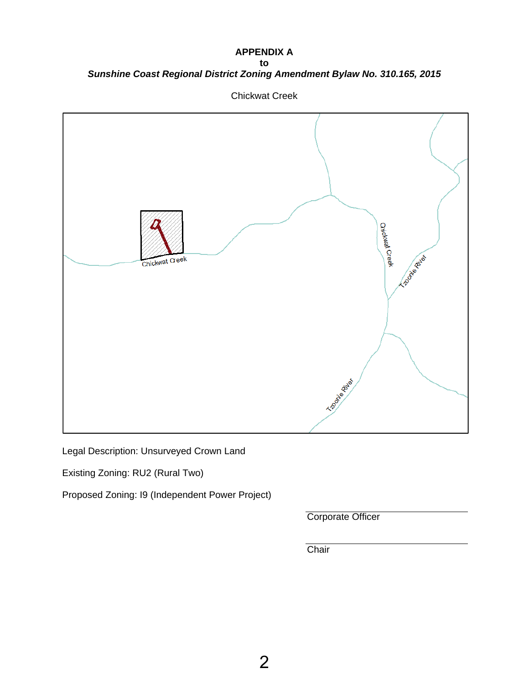#### **APPENDIX A**

**to**  *Sunshine Coast Regional District Zoning Amendment Bylaw No. 310.165, 2015*



Chickwat Creek

Legal Description: Unsurveyed Crown Land

Existing Zoning: RU2 (Rural Two)

Proposed Zoning: I9 (Independent Power Project)

Corporate Officer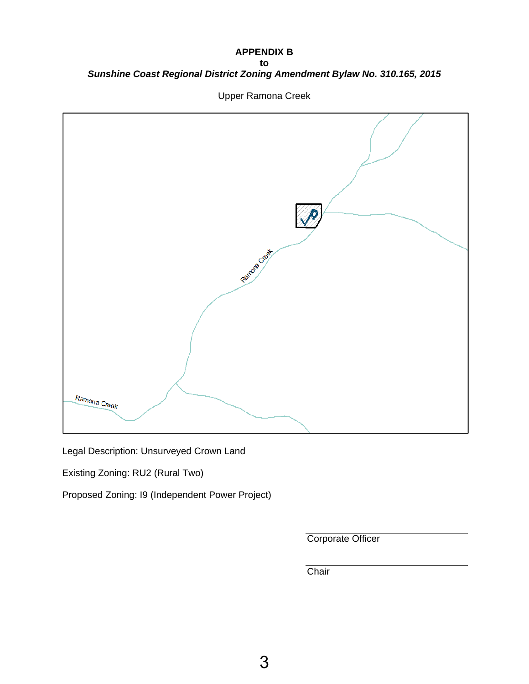#### **APPENDIX B to**  *Sunshine Coast Regional District Zoning Amendment Bylaw No. 310.165, 2015*



Upper Ramona Creek

Legal Description: Unsurveyed Crown Land

Existing Zoning: RU2 (Rural Two)

Proposed Zoning: I9 (Independent Power Project)

Corporate Officer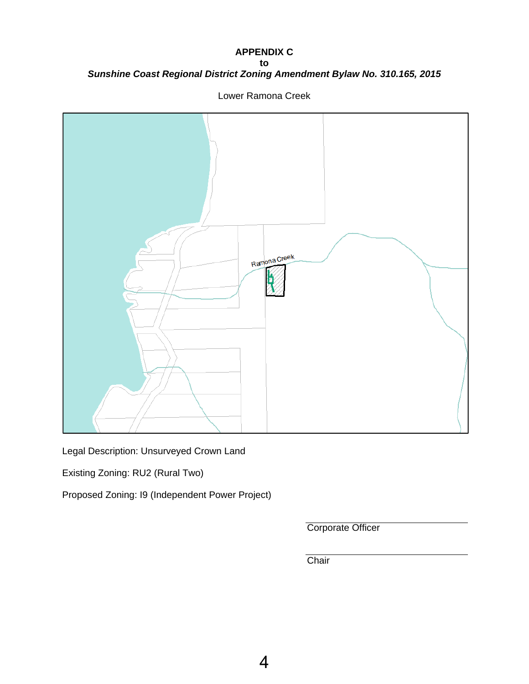#### **APPENDIX C to**  *Sunshine Coast Regional District Zoning Amendment Bylaw No. 310.165, 2015*



Lower Ramona Creek

Legal Description: Unsurveyed Crown Land

Existing Zoning: RU2 (Rural Two)

Proposed Zoning: I9 (Independent Power Project)

Corporate Officer